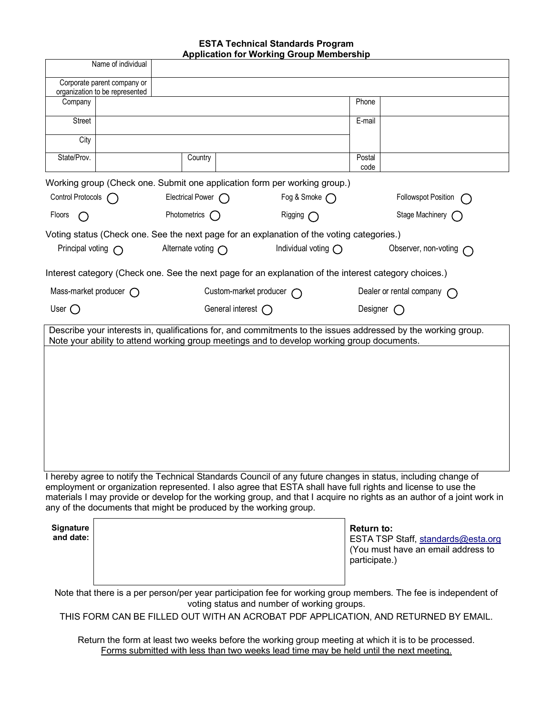## **ESTA Technical Standards Program Application for Working Group Membership**

|                                                                                                                                                                                             |                                                                                                     |                            |                    | <b>Application for Working Group Membership</b> |                   |                                                                                                               |  |
|---------------------------------------------------------------------------------------------------------------------------------------------------------------------------------------------|-----------------------------------------------------------------------------------------------------|----------------------------|--------------------|-------------------------------------------------|-------------------|---------------------------------------------------------------------------------------------------------------|--|
| Name of individual                                                                                                                                                                          |                                                                                                     |                            |                    |                                                 |                   |                                                                                                               |  |
| Corporate parent company or                                                                                                                                                                 |                                                                                                     |                            |                    |                                                 |                   |                                                                                                               |  |
| Company                                                                                                                                                                                     | organization to be represented                                                                      |                            |                    |                                                 | Phone             |                                                                                                               |  |
|                                                                                                                                                                                             |                                                                                                     |                            |                    |                                                 |                   |                                                                                                               |  |
| Street                                                                                                                                                                                      |                                                                                                     |                            |                    |                                                 | E-mail            |                                                                                                               |  |
| City                                                                                                                                                                                        |                                                                                                     |                            |                    |                                                 |                   |                                                                                                               |  |
| State/Prov.                                                                                                                                                                                 |                                                                                                     | Country                    |                    |                                                 | Postal<br>code    |                                                                                                               |  |
| Working group (Check one. Submit one application form per working group.)                                                                                                                   |                                                                                                     |                            |                    |                                                 |                   |                                                                                                               |  |
| Control Protocols                                                                                                                                                                           | (                                                                                                   | Electrical Power $\bigcap$ |                    | Fog & Smoke $\bigcap$                           |                   | <b>Followspot Position</b>                                                                                    |  |
| Floors<br>( )                                                                                                                                                                               |                                                                                                     | Photometrics               | Rigging $\bigcap$  |                                                 | Stage Machinery   |                                                                                                               |  |
| Voting status (Check one. See the next page for an explanation of the voting categories.)                                                                                                   |                                                                                                     |                            |                    |                                                 |                   |                                                                                                               |  |
| Alternate voting $\bigcap$<br>Principal voting $\bigcap$                                                                                                                                    |                                                                                                     |                            |                    | Individual voting $\bigcap$                     |                   | Observer, non-voting                                                                                          |  |
| Interest category (Check one. See the next page for an explanation of the interest category choices.)                                                                                       |                                                                                                     |                            |                    |                                                 |                   |                                                                                                               |  |
| Mass-market producer $\bigcap$<br>Custom-market producer $\bigcap$                                                                                                                          |                                                                                                     |                            |                    | Dealer or rental company                        |                   |                                                                                                               |  |
| User $\bigcap$                                                                                                                                                                              |                                                                                                     |                            | General interest ( |                                                 |                   | Designer                                                                                                      |  |
| Describe your interests in, qualifications for, and commitments to the issues addressed by the working group.                                                                               |                                                                                                     |                            |                    |                                                 |                   |                                                                                                               |  |
| Note your ability to attend working group meetings and to develop working group documents.                                                                                                  |                                                                                                     |                            |                    |                                                 |                   |                                                                                                               |  |
|                                                                                                                                                                                             |                                                                                                     |                            |                    |                                                 |                   |                                                                                                               |  |
|                                                                                                                                                                                             |                                                                                                     |                            |                    |                                                 |                   |                                                                                                               |  |
|                                                                                                                                                                                             |                                                                                                     |                            |                    |                                                 |                   |                                                                                                               |  |
|                                                                                                                                                                                             |                                                                                                     |                            |                    |                                                 |                   |                                                                                                               |  |
|                                                                                                                                                                                             |                                                                                                     |                            |                    |                                                 |                   |                                                                                                               |  |
|                                                                                                                                                                                             |                                                                                                     |                            |                    |                                                 |                   |                                                                                                               |  |
|                                                                                                                                                                                             |                                                                                                     |                            |                    |                                                 |                   |                                                                                                               |  |
|                                                                                                                                                                                             |                                                                                                     |                            |                    |                                                 |                   |                                                                                                               |  |
|                                                                                                                                                                                             |                                                                                                     |                            |                    |                                                 |                   |                                                                                                               |  |
|                                                                                                                                                                                             |                                                                                                     |                            |                    |                                                 |                   | I hereby agree to notify the Technical Standards Council of any future changes in status, including change of |  |
|                                                                                                                                                                                             |                                                                                                     |                            |                    |                                                 |                   | employment or organization represented. I also agree that ESTA shall have full rights and license to use the  |  |
| materials I may provide or develop for the working group, and that I acquire no rights as an author of a joint work in<br>any of the documents that might be produced by the working group. |                                                                                                     |                            |                    |                                                 |                   |                                                                                                               |  |
| Signature                                                                                                                                                                                   |                                                                                                     |                            |                    |                                                 |                   |                                                                                                               |  |
| and date:                                                                                                                                                                                   |                                                                                                     |                            |                    |                                                 | <b>Return to:</b> | ESTA TSP Staff, standards@esta.org                                                                            |  |
|                                                                                                                                                                                             |                                                                                                     |                            |                    |                                                 |                   | (You must have an email address to                                                                            |  |
|                                                                                                                                                                                             |                                                                                                     |                            |                    |                                                 | participate.)     |                                                                                                               |  |
|                                                                                                                                                                                             |                                                                                                     |                            |                    |                                                 |                   |                                                                                                               |  |
| Note that there is a per person/per year participation fee for working group members. The fee is independent of                                                                             |                                                                                                     |                            |                    |                                                 |                   |                                                                                                               |  |
| voting status and number of working groups.<br>THIS FORM CAN BE FILLED OUT WITH AN ACROBAT PDF APPLICATION, AND RETURNED BY EMAIL.                                                          |                                                                                                     |                            |                    |                                                 |                   |                                                                                                               |  |
|                                                                                                                                                                                             |                                                                                                     |                            |                    |                                                 |                   |                                                                                                               |  |
|                                                                                                                                                                                             | Return the form at least two weeks before the working group meeting at which it is to be processed. |                            |                    |                                                 |                   |                                                                                                               |  |

Forms submitted with less than two weeks lead time may be held until the next meeting.